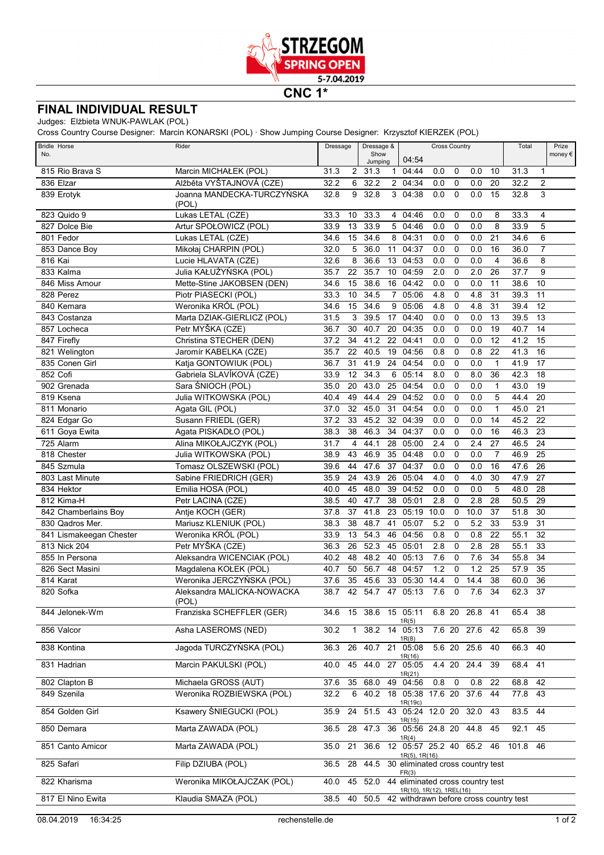

**CNC 1\***

## **FINAL INDIVIDUAL RESULT**

Judges: Elżbieta WNUK-PAWLAK (POL)

Cross Country Course Designer: Marcin KONARSKI (POL) · Show Jumping Course Designer: Krzysztof KIERZEK (POL)

| <b>Bridle Horse</b>     | Rider                              | Dressage |              | Dressage &<br><b>Cross Country</b> |              | Total                                                        |          | Prize       |                |                |          |                 |                  |
|-------------------------|------------------------------------|----------|--------------|------------------------------------|--------------|--------------------------------------------------------------|----------|-------------|----------------|----------------|----------|-----------------|------------------|
| No.                     |                                    |          |              | Show<br>Jumping                    |              | 04:54                                                        |          |             |                |                |          |                 | money $\epsilon$ |
| 815 Rio Brava S         | Marcin MICHAŁEK (POL)              | 31.3     | 2            | 31.3                               | $\mathbf{1}$ | 04:44                                                        | 0.0      | 0           | 0.0            | 10             | 31.3     | $\mathbf 1$     |                  |
| 836 Elzar               | Alžběta VYŠTAJNOVÁ (CZE)           | 32.2     | 6            | 32.2                               |              | 2 04:34                                                      | 0.0      | $\mathbf 0$ | 0.0            | 20             | 32.2     | $\overline{2}$  |                  |
| 839 Erotyk              | Joanna MANDECKA-TURCZYŃSKA         | 32.8     | 9            | 32.8                               |              | $3\overline{04:38}$                                          | 0.0      | $\mathbf 0$ | 0.0            | 15             | 32.8     | 3               |                  |
|                         | (POL)                              |          |              |                                    |              |                                                              |          |             |                |                |          |                 |                  |
| 823 Quido 9             | Lukas LETAL (CZE)                  | 33.3     | 10           | 33.3                               |              | 4 04:46                                                      | 0.0      | 0           | 0.0            | 8              | 33.3     | 4               |                  |
| 827 Dolce Bie           | Artur SPOŁOWICZ (POL)              | 33.9     | 13           | 33.9                               | 5            | 04:46                                                        | 0.0      | $\mathbf 0$ | 0.0            | 8              | 33.9     | 5               |                  |
| 801 Fedor               | Lukas LETAL (CZE)                  | 34.6     | 15           | 34.6                               | 8            | 04:31                                                        | 0.0      | $\mathbf 0$ | 0.0            | 21             | 34.6     | 6               |                  |
| 853 Dance Boy           | Mikołaj CHARPIN (POL)              | 32.0     | 5            | 36.0                               | 11           | 04:37                                                        | 0.0      | $\mathbf 0$ | 0.0            | 16             | 36.0     | $\overline{7}$  |                  |
| 816 Kai                 | Lucie HLAVATA (CZE)                | 32.6     | 8            | 36.6                               | 13           | 04:53                                                        | 0.0      | $\mathbf 0$ | 0.0            | 4              | 36.6     | 8               |                  |
| 833 Kalma               | Julia KAŁUŻYŃSKA (POL)             | 35.7     | 22           | 35.7                               | 10           | 04:59                                                        | 2.0      | $\mathbf 0$ | 2.0            | 26             | 37.7     | 9               |                  |
| 846 Miss Amour          | Mette-Stine JAKOBSEN (DEN)         | 34.6     | 15           | 38.6                               | 16           | 04:42                                                        | 0.0      | $\mathbf 0$ | 0.0            | 11             | 38.6     | 10              |                  |
| 828 Perez               | Piotr PIASECKI (POL)               | 33.3     | 10           | 34.5                               |              | 705:06                                                       | 4.8      | $\mathbf 0$ | 4.8            | 31             | 39.3     | 11              |                  |
| 840 Kemara              | Weronika KRÓL (POL)                | 34.6     | 15           | 34.6                               | 9            | 05:06                                                        | 4.8      | $\mathbf 0$ | 4.8            | 31             | 39.4     | 12              |                  |
| 843 Costanza            | Marta DZIAK-GIERLICZ (POL)         | 31.5     | 3            | 39.5                               | 17           | 04:40                                                        | 0.0      | $\mathbf 0$ | 0.0            | 13             | 39.5     | 13              |                  |
| 857 Locheca             | Petr MYŠKA (CZE)                   | 36.7     | 30           | 40.7                               | 20           | 04:35                                                        | 0.0      | $\mathbf 0$ | 0.0            | 19             | 40.7     | 14              |                  |
| 847 Firefly             | Christina STECHER (DEN)            | 37.2     | 34           | 41.2                               | 22           | 04:41                                                        | 0.0      | $\mathbf 0$ | 0.0            | 12             | 41.2     | 15              |                  |
| 821 Welington           | Jaromír KABELKA (CZE)              | 35.7     | 22           | 40.5                               | 19           | 04:56                                                        | 0.8      | $\mathbf 0$ | 0.8            | 22             | 41.3     | 16              |                  |
| 835 Conen Girl          | Katja GONTOWIUK (POL)              | 36.7     | 31           | 41.9                               | 24           | 04:54                                                        | 0.0      | $\mathbf 0$ | 0.0            | $\mathbf{1}$   | 41.9     | $\overline{17}$ |                  |
| 852 Cofi                | Gabriela SLAVÍKOVÁ (CZE)           | 33.9     | 12           | 34.3                               | 6            | 05:14                                                        | 8.0      | $\mathbf 0$ | 8.0            | 36             | 42.3     | 18              |                  |
| 902 Grenada             | Sara ŚNIOCH (POL)                  | 35.0     | 20           | 43.0                               | 25           | 04:54                                                        | 0.0      | $\mathbf 0$ | 0.0            | $\mathbf{1}$   | 43.0     | 19              |                  |
| 819 Ksena               | Julia WITKOWSKA (POL)              | 40.4     | 49           | 44.4                               | 29           | 04:52                                                        | 0.0      | $\mathbf 0$ | 0.0            | 5              | 44.4     | 20              |                  |
| 811 Monario             | Agata GIL (POL)                    | 37.0     | 32           | 45.0                               | 31           | 04:54                                                        | 0.0      | $\mathbf 0$ | 0.0            | 1              | 45.0     | 21              |                  |
| 824 Edgar Go            | Susann FRIEDL (GER)                | 37.2     | 33           | 45.2                               | 32           | 04:39                                                        | 0.0      | $\mathbf 0$ | 0.0            | 14             | 45.2     | $\overline{22}$ |                  |
| 611 Goya Ewita          | Agata PISKADŁO (POL)               | 38.3     | 38           | 46.3                               | 34           | 04:37                                                        | 0.0      | $\mathbf 0$ | 0.0            | 16             | 46.3     | 23              |                  |
| 725 Alarm               | Alina MIKOŁAJCZYK (POL)            | 31.7     | 4            | 44.1                               | 28           | 05:00                                                        | 2.4      | $\mathbf 0$ | 2.4            | 27             | 46.5     | 24              |                  |
| 818 Chester             | Julia WITKOWSKA (POL)              | 38.9     | 43           | 46.9                               | 35           | 04:48                                                        | 0.0      | $\mathbf 0$ | 0.0            | $\overline{7}$ | 46.9     | $\overline{25}$ |                  |
| 845 Szmula              | Tomasz OLSZEWSKI (POL)             | 39.6     | 44           | 47.6                               | 37           | 04:37                                                        | 0.0      | $\mathbf 0$ | 0.0            | 16             | 47.6     | 26              |                  |
| 803 Last Minute         | Sabine FRIEDRICH (GER)             | 35.9     | 24           | 43.9                               | 26           | 05:04                                                        | 4.0      | $\mathbf 0$ | 4.0            | 30             | 47.9     | 27              |                  |
| 834 Hektor              | Emilia HOSA (POL)                  | 40.0     | 45           | 48.0                               | 39           | 04:52                                                        | 0.0      | $\mathbf 0$ | 0.0            | 5              | 48.0     | 28              |                  |
| 812 Kima-H              | Petr LACINA (CZE)                  | 38.5     | 40           | 47.7                               | 38           | 05:01                                                        | 2.8      | $\mathbf 0$ | 2.8            | 28             | 50.5     | 29              |                  |
| 842 Chamberlains Boy    | Antje KOCH (GER)                   | 37.8     | 37           | 41.8                               | 23           | 05:19                                                        | 10.0     | $\mathbf 0$ | 10.0           | 37             | 51.8     | 30              |                  |
| 830 Qadros Mer.         | Mariusz KLENIUK (POL)              | 38.3     | 38           | 48.7                               | 41           | 05:07                                                        | 5.2      | $\mathbf 0$ | 5.2            | 33             | 53.9     | $\overline{31}$ |                  |
| 841 Lismakeegan Chester | Weronika KRÓL (POL)                | 33.9     | 13           | 54.3                               | 46           | 04:56                                                        | 0.8      | $\mathbf 0$ | 0.8            | 22             | 55.1     | $\overline{32}$ |                  |
| 813 Nick 204            | Petr MYŠKA (CZE)                   | 36.3     | 26           | 52.3                               | 45           | 05:01                                                        | 2.8      | $\mathbf 0$ | 2.8            | 28             | 55.1     | 33              |                  |
| 855 In Persona          | Aleksandra WICENCIAK (POL)         | 40.2     | 48           | 48.2                               | 40           | 05:13                                                        | 7.6      | 0           | 7.6            | 34             | 55.8     | 34              |                  |
| 826 Sect Masini         | Magdalena KOŁEK (POL)              | 40.7     | 50           | 56.7                               | 48           | 04:57                                                        | 1.2      | 0           | 1.2            | 25             | 57.9     | 35              |                  |
| 814 Karat               | Weronika JERCZYŃSKA (POL)          | 37.6     | 35           | 45.6                               | 33           | 05:30                                                        | 14.4     | 0           | 14.4           | 38             | 60.0     | 36              |                  |
| 820 Sofka               | Aleksandra MALICKA-NOWACKA         | 38.7     | 42           | 54.7                               | 47           | 05:13                                                        | 7.6      | $\Omega$    | 7.6            | 34             | 62.3     | 37              |                  |
| 844 Jelonek-Wm          | (POL)<br>Franziska SCHEFFLER (GER) | 34.6     | 15           | 38.6                               |              | 15 05:11                                                     |          |             | 6.8 20 26.8 41 |                | 65.4     | 38              |                  |
|                         |                                    |          |              |                                    |              | 1R(5)                                                        |          |             |                |                |          |                 |                  |
| 856 Valcor              | Asha LASEROMS (NED)                | 30.2     | $\mathbf{1}$ | 38.2                               |              | $14$ 05:13                                                   | 7.6 20   |             | 27.6           | 42             | 65.8 39  |                 |                  |
| 838 Kontina             | Jagoda TURCZYŃSKA (POL)            | 36.3     | 26           |                                    |              | 1R(8)<br>40.7 21 05:08                                       | 5.6 20   |             | 25.6           | 40             | 66.3     | 40              |                  |
|                         |                                    |          |              |                                    |              | 1R(16)                                                       |          |             |                |                |          |                 |                  |
| 831 Hadrian             | Marcin PAKULSKI (POL)              | 40.0     | 45           |                                    |              | 44.0 27 05:05                                                | $4.4$ 20 |             | 24.4           | 39             | 68.4     | 41              |                  |
| 802 Clapton B           | Michaela GROSS (AUT)               | 37.6     | 35           | 68.0                               |              | 1R(21)<br>49 04:56                                           | 0.8      | 0           | 0.8            | 22             | 68.8     | 42              |                  |
| 849 Szenila             | Weronika ROZBIEWSKA (POL)          | 32.2     | 6            | 40.2                               |              | 18 05:38 17.6 20                                             |          |             | 37.6           | 44             | 77.8     | 43              |                  |
|                         |                                    |          |              |                                    |              | 1R(19c)                                                      |          |             |                |                |          |                 |                  |
| 854 Golden Girl         | Ksawery ŚNIEGUCKI (POL)            | 35.9     | 24           | 51.5                               |              | 43 05:24 12.0 20                                             |          |             | 32.0           | 43             | 83.5     | 44              |                  |
| 850 Demara              | Marta ZAWADA (POL)                 | 36.5     | 28           | 47.3                               | 36           | 1R(15)<br>05:56 24.8 20                                      |          |             | 44.8           | 45             | 92.1     | 45              |                  |
| 851 Canto Amicor        | Marta ZAWADA (POL)                 | 35.0     | 21           | 36.6                               |              | 1R(4)<br>12 05:57 25.2 40 65.2                               |          |             |                | 46             | 101.8 46 |                 |                  |
|                         |                                    |          |              |                                    |              | 1R(5), 1R(16)                                                |          |             |                |                |          |                 |                  |
| 825 Safari              | Filip DZIUBA (POL)                 | 36.5     | 28           | 44.5                               |              | 30 eliminated cross country test<br>FR(3)                    |          |             |                |                |          |                 |                  |
| 822 Kharisma            | Weronika MIKOŁAJCZAK (POL)         | 40.0     | 45           | 52.0                               |              | 44 eliminated cross country test<br>1R(10), 1R(12), 1REL(16) |          |             |                |                |          |                 |                  |
| 817 El Nino Ewita       | Klaudia SMAZA (POL)                | 38.5     | 40           |                                    |              | 50.5 42 withdrawn before cross country test                  |          |             |                |                |          |                 |                  |